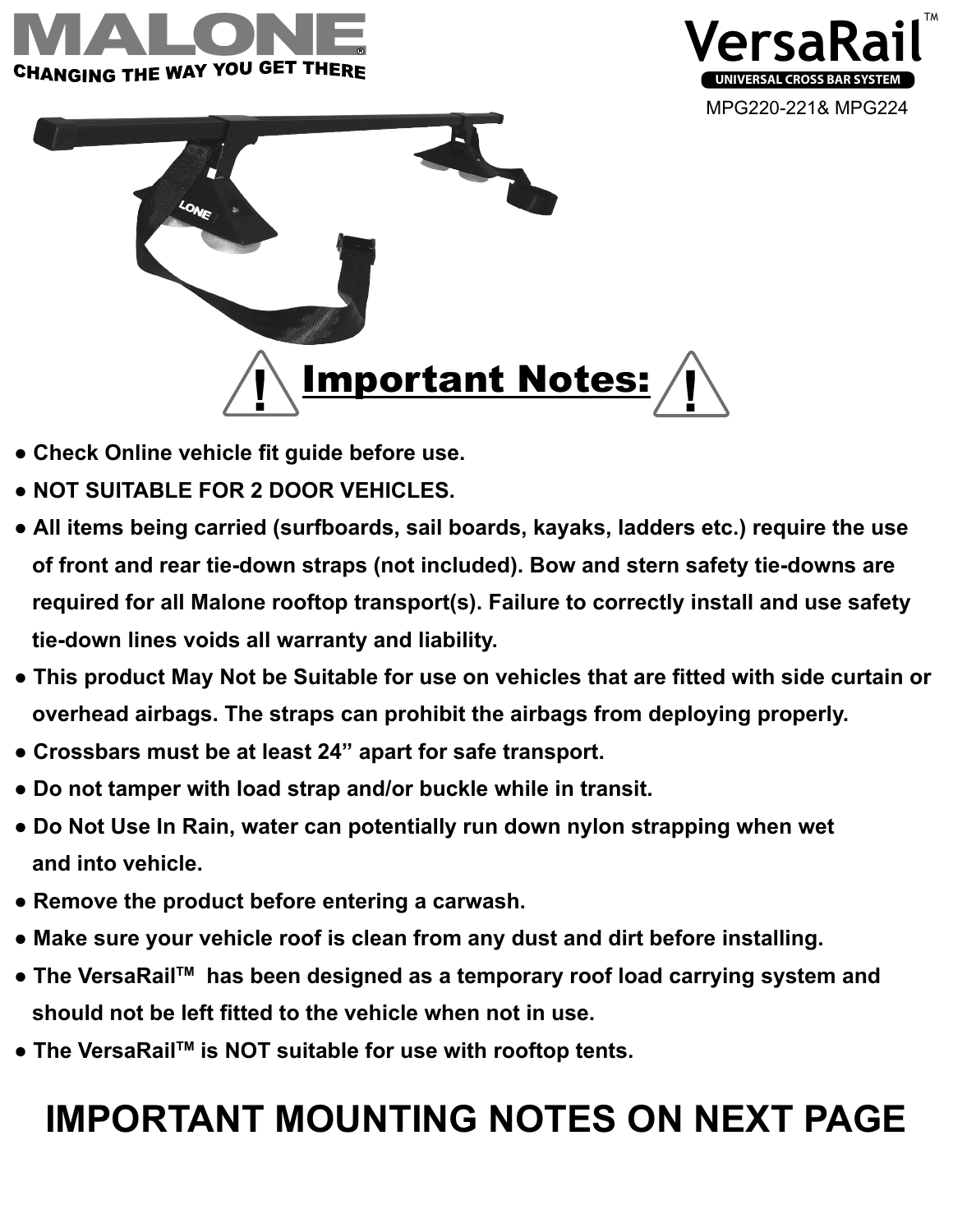





- **Check Online vehicle fit guide before use.**
- **NOT SUITABLE FOR 2 DOOR VEHICLES.**
- $t_{\text{max}}$  shield. Insert the insert of  $t_{\text{max}}$ ● All items being carried (surfboards, sail boards, kayaks, ladders etc.) require the use of front and rear tie-down straps (not included). Bow and stern safety tie-downs are  **required for all Malone rooftop transport(s). Failure to correctly install and use safety tie-down lines voids all warranty and liability.**
- overhead airbags. The straps can prohibit the airbags from deploying properly. ● **This product May Not be Suitable for use on vehicles that are fitted with side curtain or**
- adjust it's position. Center towers over  $\bullet$  Crossbars must be at least 24" apart for safe transport.
- **3** ● **Do not tamper with load strap and/or buckle while in transit.**
- **Do Not Use In Rain, water can potentially run down nylon strapping when wet and into vehicle.**
- **Remove the product before entering a carwash.**
- $\log$  . Place cross bars on the vehicle  $r$ ● **Make sure your vehicle roof is clean from any dust and dirt before installing.**
- The VersaRail™ has been designed as a temporary roof load carrying system and  $\overline{\text{S}}$  can and  **should not be left fitted to the vehicle when not in use.**
- **The VersaRailTM is NOT suitable for use with rooftop tents.**

## **IMPORTANT MOUNTING NOTES ON NEXT PAGE**